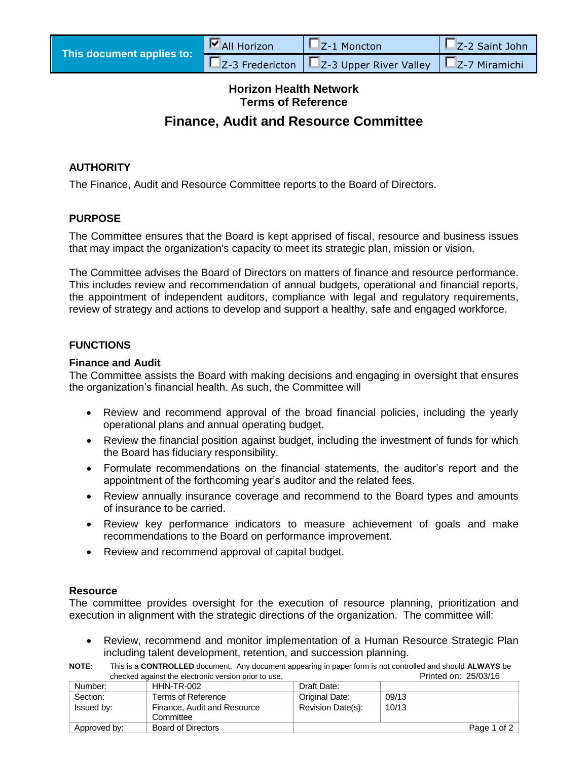| This document applies to: | $\nabla$ All Horizon | $\mathbf{L}$ Z-1 Moncton                                                           | $\Box$ Z-2 Saint John |
|---------------------------|----------------------|------------------------------------------------------------------------------------|-----------------------|
|                           |                      | $\square$ Z-3 Fredericton $\square$ Z-3 Upper River Valley $\square$ Z-7 Miramichi |                       |

# **Horizon Health Network Terms of Reference**

# **Finance, Audit and Resource Committee**

### **AUTHORITY**

The Finance, Audit and Resource Committee reports to the Board of Directors.

### **PURPOSE**

The Committee ensures that the Board is kept apprised of fiscal, resource and business issues that may impact the organization's capacity to meet its strategic plan, mission or vision.

The Committee advises the Board of Directors on matters of finance and resource performance. This includes review and recommendation of annual budgets, operational and financial reports, the appointment of independent auditors, compliance with legal and regulatory requirements, review of strategy and actions to develop and support a healthy, safe and engaged workforce.

### **FUNCTIONS**

#### **Finance and Audit**

The Committee assists the Board with making decisions and engaging in oversight that ensures the organization's financial health. As such, the Committee will

- Review and recommend approval of the broad financial policies, including the yearly operational plans and annual operating budget.
- Review the financial position against budget, including the investment of funds for which the Board has fiduciary responsibility.
- Formulate recommendations on the financial statements, the auditor's report and the appointment of the forthcoming year's auditor and the related fees.
- Review annually insurance coverage and recommend to the Board types and amounts of insurance to be carried.
- Review key performance indicators to measure achievement of goals and make recommendations to the Board on performance improvement.
- Review and recommend approval of capital budget.

#### **Resource**

The committee provides oversight for the execution of resource planning, prioritization and execution in alignment with the strategic directions of the organization. The committee will:

- Review, recommend and monitor implementation of a Human Resource Strategic Plan including talent development, retention, and succession planning.
- **NOTE:** This is a **CONTROLLED** document. Any document appearing in paper form is not controlled and should **ALWAYS** be checked against the electronic version prior to use. Printed on: 25/03/16

| Number:      | HHN-TR-002                  | Draft Date:       |                 |
|--------------|-----------------------------|-------------------|-----------------|
| Section:     | Terms of Reference          | Original Date:    | 09/13           |
| Issued by:   | Finance, Audit and Resource | Revision Date(s): | 10/13           |
|              | Committee                   |                   |                 |
| Approved by: | Board of Directors          |                   | Page 1 of 2 $ $ |